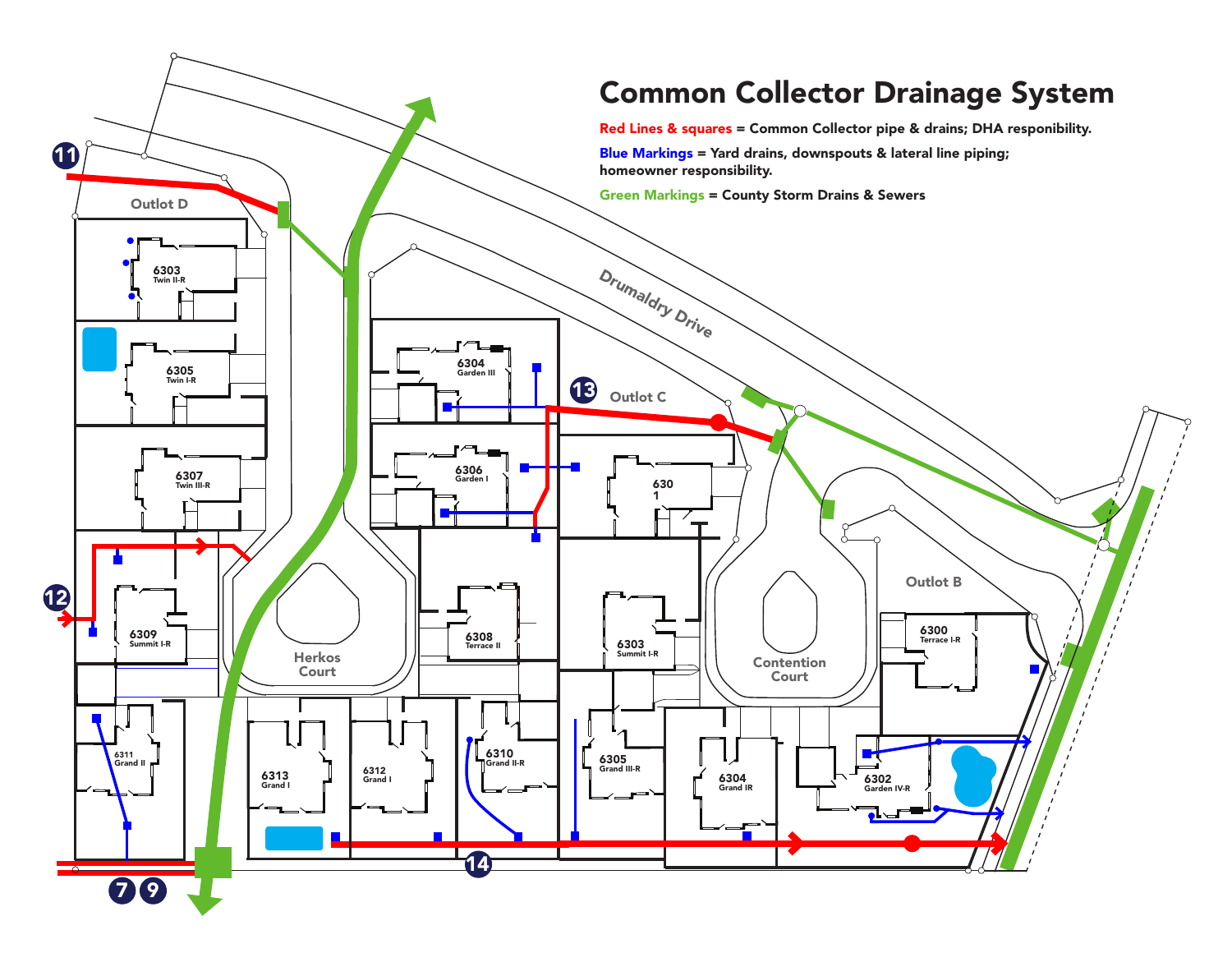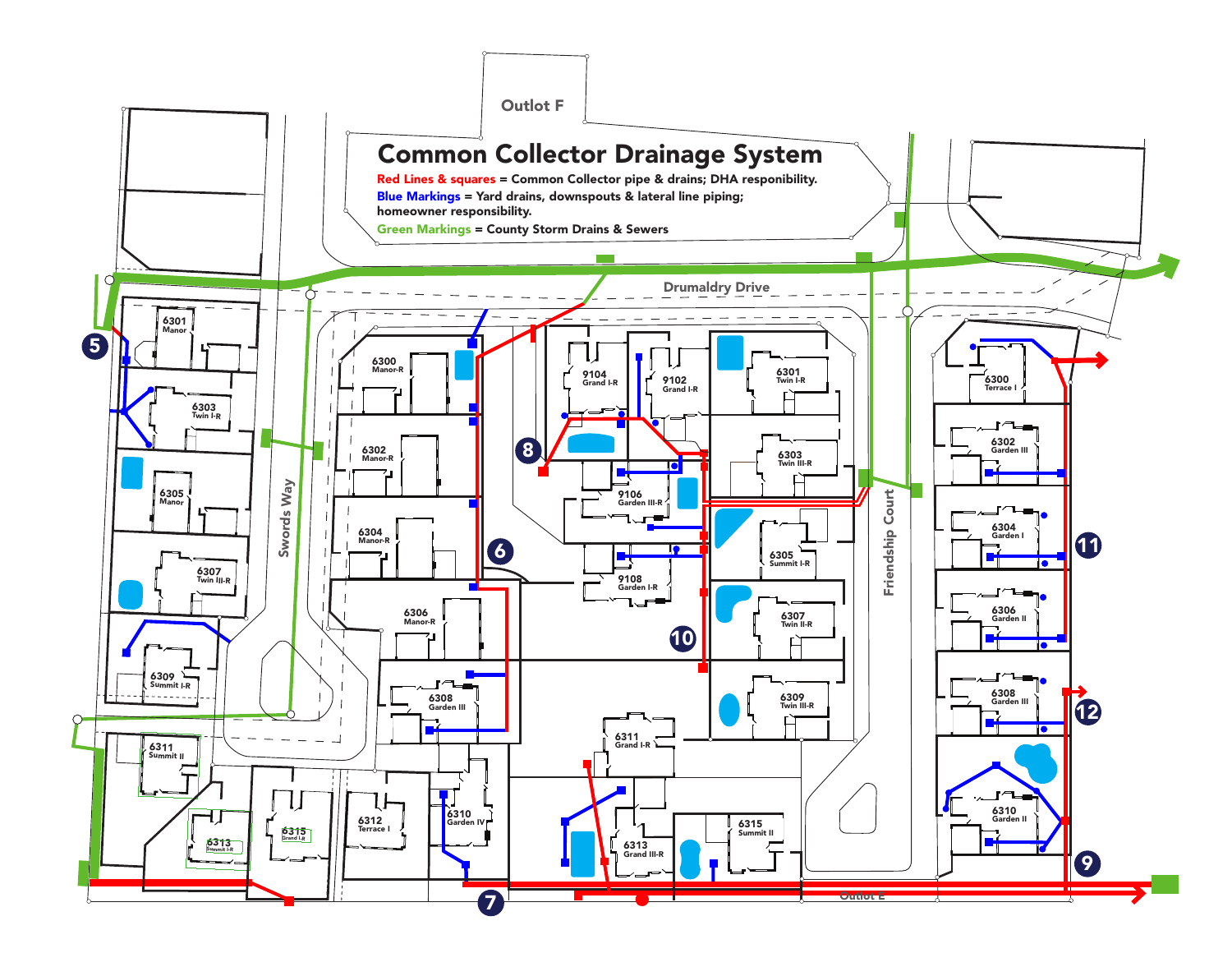